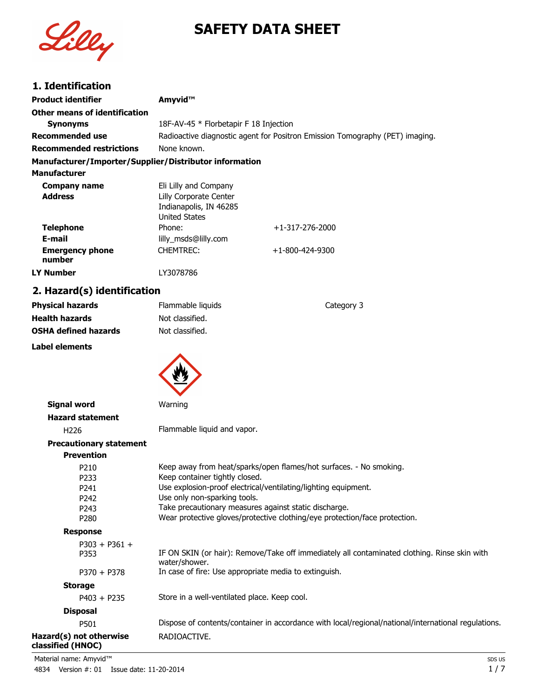

# **SAFETY DATA SHEET**

## **1. Identification**

| <b>Product identifier</b>                              | Amvvid™                                  |                                                                              |
|--------------------------------------------------------|------------------------------------------|------------------------------------------------------------------------------|
| Other means of identification                          |                                          |                                                                              |
| <b>Synonyms</b>                                        | 18F-AV-45 $*$ Florbetapir F 18 Injection |                                                                              |
| <b>Recommended use</b>                                 |                                          | Radioactive diagnostic agent for Positron Emission Tomography (PET) imaging. |
| <b>Recommended restrictions</b>                        | None known.                              |                                                                              |
| Manufacturer/Importer/Supplier/Distributor information |                                          |                                                                              |
| <b>Manufacturer</b>                                    |                                          |                                                                              |
| <b>Company name</b>                                    | Eli Lilly and Company                    |                                                                              |
| <b>Address</b>                                         | Lilly Corporate Center                   |                                                                              |
|                                                        | Indianapolis, IN 46285                   |                                                                              |
|                                                        | United States                            |                                                                              |
| <b>Telephone</b>                                       | Phone:                                   | $+1-317-276-2000$                                                            |
| E-mail                                                 | lilly_msds@lilly.com                     |                                                                              |
| <b>Emergency phone</b>                                 | <b>CHEMTREC:</b>                         | $+1 - 800 - 424 - 9300$                                                      |
| number                                                 |                                          |                                                                              |
| <b>LY Number</b>                                       | LY3078786                                |                                                                              |
|                                                        |                                          |                                                                              |

## **2. Hazard(s) identification**

| <b>Physical hazards</b>     | Flammable liquids | Category 3 |
|-----------------------------|-------------------|------------|
| <b>Health hazards</b>       | Not classified.   |            |
| <b>OSHA defined hazards</b> | Not classified.   |            |

**Label elements**



| Jiynal wulu                                  | 111111                                                                                                        |
|----------------------------------------------|---------------------------------------------------------------------------------------------------------------|
| <b>Hazard statement</b>                      |                                                                                                               |
| H <sub>226</sub>                             | Flammable liquid and vapor.                                                                                   |
| <b>Precautionary statement</b>               |                                                                                                               |
| <b>Prevention</b>                            |                                                                                                               |
| P210                                         | Keep away from heat/sparks/open flames/hot surfaces. - No smoking.                                            |
| P <sub>233</sub>                             | Keep container tightly closed.                                                                                |
| P241                                         | Use explosion-proof electrical/ventilating/lighting equipment.                                                |
| P <sub>242</sub>                             | Use only non-sparking tools.                                                                                  |
| P <sub>243</sub>                             | Take precautionary measures against static discharge.                                                         |
| P280                                         | Wear protective gloves/protective clothing/eye protection/face protection.                                    |
| <b>Response</b>                              |                                                                                                               |
| $P303 + P361 +$                              |                                                                                                               |
| P353                                         | IF ON SKIN (or hair): Remove/Take off immediately all contaminated clothing. Rinse skin with<br>water/shower. |
| $P370 + P378$                                | In case of fire: Use appropriate media to extinguish.                                                         |
| <b>Storage</b>                               |                                                                                                               |
| $P403 + P235$                                | Store in a well-ventilated place. Keep cool.                                                                  |
| <b>Disposal</b>                              |                                                                                                               |
| P501                                         | Dispose of contents/container in accordance with local/regional/national/international regulations.           |
| Hazard(s) not otherwise<br>classified (HNOC) | RADIOACTIVE.                                                                                                  |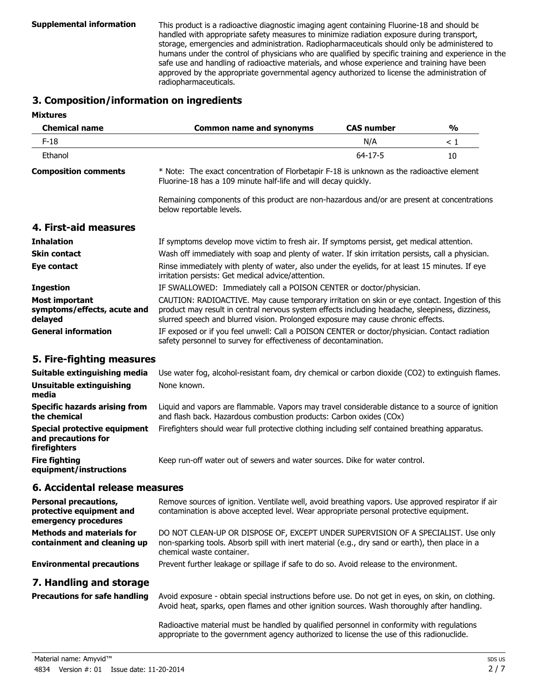**Supplemental information** This product is a radioactive diagnostic imaging agent containing Fluorine-18 and should be handled with appropriate safety measures to minimize radiation exposure during transport, storage, emergencies and administration. Radiopharmaceuticals should only be administered to humans under the control of physicians who are qualified by specific training and experience in the safe use and handling of radioactive materials, and whose experience and training have been approved by the appropriate governmental agency authorized to license the administration of radiopharmaceuticals.

## **3. Composition/information on ingredients**

**Mixtures**

| <b>Chemical name</b>                                            | <b>Common name and synonyms</b>                                                                                                                                                                                                                                                       | <b>CAS number</b> | $\frac{0}{0}$ |
|-----------------------------------------------------------------|---------------------------------------------------------------------------------------------------------------------------------------------------------------------------------------------------------------------------------------------------------------------------------------|-------------------|---------------|
| $F-18$                                                          |                                                                                                                                                                                                                                                                                       | N/A               | $\leq 1$      |
| Ethanol                                                         |                                                                                                                                                                                                                                                                                       | $64 - 17 - 5$     | 10            |
| <b>Composition comments</b>                                     | * Note: The exact concentration of Florbetapir F-18 is unknown as the radioactive element<br>Fluorine-18 has a 109 minute half-life and will decay quickly.                                                                                                                           |                   |               |
|                                                                 | Remaining components of this product are non-hazardous and/or are present at concentrations<br>below reportable levels.                                                                                                                                                               |                   |               |
| 4. First-aid measures                                           |                                                                                                                                                                                                                                                                                       |                   |               |
| <b>Inhalation</b>                                               | If symptoms develop move victim to fresh air. If symptoms persist, get medical attention.                                                                                                                                                                                             |                   |               |
| <b>Skin contact</b>                                             | Wash off immediately with soap and plenty of water. If skin irritation persists, call a physician.                                                                                                                                                                                    |                   |               |
| Eye contact                                                     | Rinse immediately with plenty of water, also under the eyelids, for at least 15 minutes. If eye<br>irritation persists: Get medical advice/attention.                                                                                                                                 |                   |               |
| <b>Ingestion</b>                                                | IF SWALLOWED: Immediately call a POISON CENTER or doctor/physician.                                                                                                                                                                                                                   |                   |               |
| <b>Most important</b><br>symptoms/effects, acute and<br>delayed | CAUTION: RADIOACTIVE. May cause temporary irritation on skin or eye contact. Ingestion of this<br>product may result in central nervous system effects including headache, sleepiness, dizziness,<br>slurred speech and blurred vision. Prolonged exposure may cause chronic effects. |                   |               |
| <b>General information</b>                                      | IF exposed or if you feel unwell: Call a POISON CENTER or doctor/physician. Contact radiation<br>safety personnel to survey for effectiveness of decontamination.                                                                                                                     |                   |               |

## **5. Fire-fighting measures**

| Suitable extinguishing media                                        | Use water fog, alcohol-resistant foam, dry chemical or carbon dioxide (CO2) to extinguish flames.                                                                      |
|---------------------------------------------------------------------|------------------------------------------------------------------------------------------------------------------------------------------------------------------------|
| Unsuitable extinguishing<br>media                                   | None known.                                                                                                                                                            |
| <b>Specific hazards arising from</b><br>the chemical                | Liquid and vapors are flammable. Vapors may travel considerable distance to a source of ignition<br>and flash back. Hazardous combustion products: Carbon oxides (COx) |
| Special protective equipment<br>and precautions for<br>firefighters | Firefighters should wear full protective clothing including self contained breathing apparatus.                                                                        |
| <b>Fire fighting</b><br>equipment/instructions                      | Keep run-off water out of sewers and water sources. Dike for water control.                                                                                            |

## **6. Accidental release measures**

| <b>Personal precautions,</b><br>protective equipment and<br>emergency procedures | Remove sources of ignition. Ventilate well, avoid breathing vapors. Use approved respirator if air<br>contamination is above accepted level. Wear appropriate personal protective equipment.                      |
|----------------------------------------------------------------------------------|-------------------------------------------------------------------------------------------------------------------------------------------------------------------------------------------------------------------|
| <b>Methods and materials for</b><br>containment and cleaning up                  | DO NOT CLEAN-UP OR DISPOSE OF, EXCEPT UNDER SUPERVISION OF A SPECIALIST. Use only<br>non-sparking tools. Absorb spill with inert material (e.g., dry sand or earth), then place in a<br>chemical waste container. |
| <b>Environmental precautions</b>                                                 | Prevent further leakage or spillage if safe to do so. Avoid release to the environment.                                                                                                                           |
| 7. Handling and storage                                                          |                                                                                                                                                                                                                   |
| <b>Precautions for safe handling</b>                                             | Avoid exposure - obtain special instructions before use. Do not get in eyes, on skin, on clothing.<br>Avoid heat, sparks, open flames and other ignition sources. Wash thoroughly after handling.                 |
|                                                                                  | Radioactive material must be handled by qualified personnel in conformity with regulations<br>appropriate to the government agency authorized to license the use of this radionuclide.                            |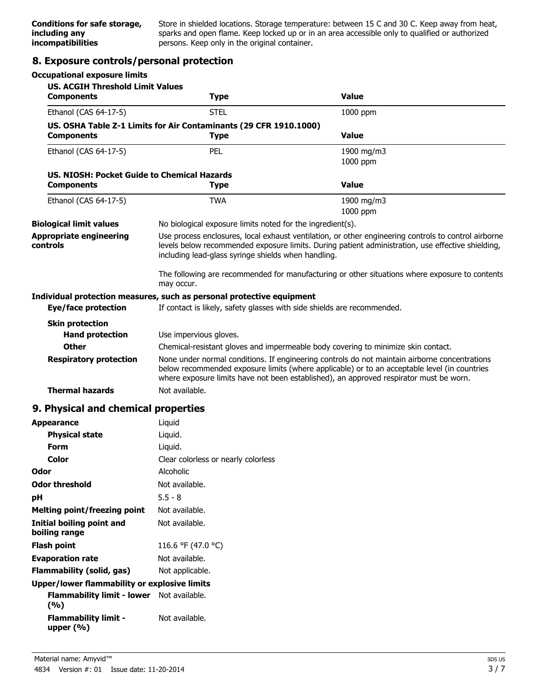Store in shielded locations. Storage temperature: between 15 C and 30 C. Keep away from heat, sparks and open flame. Keep locked up or in an area accessible only to qualified or authorized persons. Keep only in the original container.

### **8. Exposure controls/personal protection**

#### **Occupational exposure limits**

| <b>US. ACGIH Threshold Limit Values</b><br><b>Components</b> | <b>Type</b>                                                                      | <b>Value</b>                                                                                                                                                                                                                                                                            |
|--------------------------------------------------------------|----------------------------------------------------------------------------------|-----------------------------------------------------------------------------------------------------------------------------------------------------------------------------------------------------------------------------------------------------------------------------------------|
| Ethanol (CAS 64-17-5)                                        | <b>STEL</b>                                                                      | 1000 ppm                                                                                                                                                                                                                                                                                |
| <b>Components</b>                                            | US. OSHA Table Z-1 Limits for Air Contaminants (29 CFR 1910.1000)<br><b>Type</b> | <b>Value</b>                                                                                                                                                                                                                                                                            |
| Ethanol (CAS 64-17-5)                                        | PEL                                                                              | 1900 mg/m3<br>1000 ppm                                                                                                                                                                                                                                                                  |
| US. NIOSH: Pocket Guide to Chemical Hazards                  |                                                                                  |                                                                                                                                                                                                                                                                                         |
| <b>Components</b>                                            | <b>Type</b>                                                                      | <b>Value</b>                                                                                                                                                                                                                                                                            |
| Ethanol (CAS 64-17-5)                                        | <b>TWA</b>                                                                       | 1900 mg/m3<br>$1000$ ppm                                                                                                                                                                                                                                                                |
| <b>Biological limit values</b>                               | No biological exposure limits noted for the ingredient(s).                       |                                                                                                                                                                                                                                                                                         |
| Appropriate engineering<br>controls                          | including lead-glass syringe shields when handling.                              | Use process enclosures, local exhaust ventilation, or other engineering controls to control airborne<br>levels below recommended exposure limits. During patient administration, use effective shielding,                                                                               |
|                                                              | may occur.                                                                       | The following are recommended for manufacturing or other situations where exposure to contents                                                                                                                                                                                          |
|                                                              | Individual protection measures, such as personal protective equipment            |                                                                                                                                                                                                                                                                                         |
| Eye/face protection                                          | If contact is likely, safety glasses with side shields are recommended.          |                                                                                                                                                                                                                                                                                         |
| <b>Skin protection</b><br><b>Hand protection</b>             | Use impervious gloves.                                                           |                                                                                                                                                                                                                                                                                         |
| <b>Other</b>                                                 |                                                                                  | Chemical-resistant gloves and impermeable body covering to minimize skin contact.                                                                                                                                                                                                       |
| <b>Respiratory protection</b>                                |                                                                                  | None under normal conditions. If engineering controls do not maintain airborne concentrations<br>below recommended exposure limits (where applicable) or to an acceptable level (in countries<br>where exposure limits have not been established), an approved respirator must be worn. |
| <b>Thermal hazards</b>                                       | Not available.                                                                   |                                                                                                                                                                                                                                                                                         |

## **9. Physical and chemical properties**

| Liguid                                           |
|--------------------------------------------------|
| Liguid.                                          |
| Liquid.                                          |
| Clear colorless or nearly colorless              |
| Alcoholic                                        |
| Not available.                                   |
| $5.5 - 8$                                        |
| Not available.                                   |
| Not available.                                   |
| 116.6 °F (47.0 °C)                               |
| Not available.                                   |
| Not applicable.                                  |
| Upper/lower flammability or explosive limits     |
| <b>Flammability limit - lower</b> Not available. |
| Not available.                                   |
|                                                  |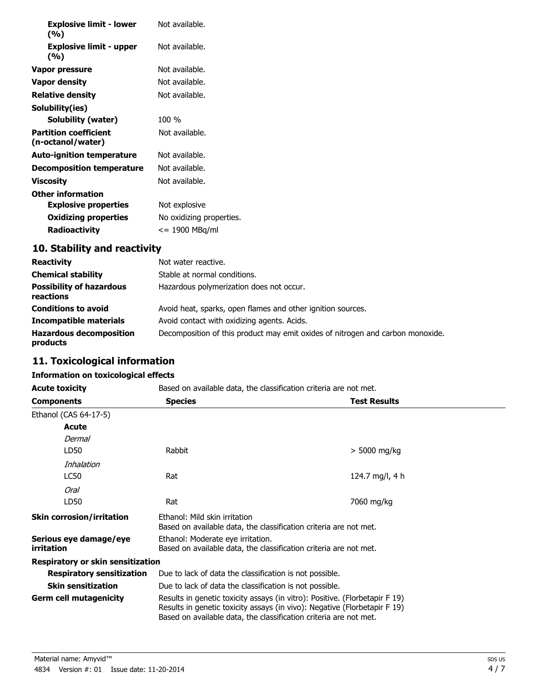| <b>Explosive limit - lower</b><br>(%)             | Not available.           |
|---------------------------------------------------|--------------------------|
| <b>Explosive limit - upper</b><br>(%)             | Not available.           |
| <b>Vapor pressure</b>                             | Not available.           |
| <b>Vapor density</b>                              | Not available.           |
| <b>Relative density</b>                           | Not available.           |
| Solubility(ies)                                   |                          |
| Solubility (water)                                | 100 %                    |
| <b>Partition coefficient</b><br>(n-octanol/water) | Not available.           |
| <b>Auto-ignition temperature</b>                  | Not available.           |
| <b>Decomposition temperature</b>                  | Not available.           |
| <b>Viscosity</b>                                  | Not available.           |
| <b>Other information</b>                          |                          |
| <b>Explosive properties</b>                       | Not explosive            |
| <b>Oxidizing properties</b>                       | No oxidizing properties. |
| <b>Radioactivity</b>                              | $\epsilon$ = 1900 MBg/ml |
| 10. Stability and reactivity                      |                          |

#### **Reactivity** Not water reactive. **Chemical stability** Stable at normal conditions. **Possibility of hazardous reactions** Hazardous polymerization does not occur. **Conditions to avoid** Avoid heat, sparks, open flames and other ignition sources. **Incompatible materials** Avoid contact with oxidizing agents. Acids. **Hazardous decomposition products** Decomposition of this product may emit oxides of nitrogen and carbon monoxide.

## **11. Toxicological information**

#### **Information on toxicological effects**

| <b>Acute toxicity</b>                | Based on available data, the classification criteria are not met.                                                                                                                                                             |                 |
|--------------------------------------|-------------------------------------------------------------------------------------------------------------------------------------------------------------------------------------------------------------------------------|-----------------|
| <b>Components</b>                    | <b>Species</b><br><b>Test Results</b>                                                                                                                                                                                         |                 |
| Ethanol (CAS 64-17-5)                |                                                                                                                                                                                                                               |                 |
| <b>Acute</b>                         |                                                                                                                                                                                                                               |                 |
| Dermal                               |                                                                                                                                                                                                                               |                 |
| LD50                                 | Rabbit                                                                                                                                                                                                                        | $>$ 5000 mg/kg  |
| Inhalation                           |                                                                                                                                                                                                                               |                 |
| LC50                                 | Rat                                                                                                                                                                                                                           | 124.7 mg/l, 4 h |
| Oral                                 |                                                                                                                                                                                                                               |                 |
| LD50                                 | Rat                                                                                                                                                                                                                           | 7060 mg/kg      |
| <b>Skin corrosion/irritation</b>     | Ethanol: Mild skin irritation<br>Based on available data, the classification criteria are not met.                                                                                                                            |                 |
| Serious eye damage/eye<br>irritation | Ethanol: Moderate eye irritation.<br>Based on available data, the classification criteria are not met.                                                                                                                        |                 |
| Respiratory or skin sensitization    |                                                                                                                                                                                                                               |                 |
| <b>Respiratory sensitization</b>     | Due to lack of data the classification is not possible.                                                                                                                                                                       |                 |
| <b>Skin sensitization</b>            | Due to lack of data the classification is not possible.                                                                                                                                                                       |                 |
| <b>Germ cell mutagenicity</b>        | Results in genetic toxicity assays (in vitro): Positive. (Florbetapir F 19)<br>Results in genetic toxicity assays (in vivo): Negative (Florbetapir F 19)<br>Based on available data, the classification criteria are not met. |                 |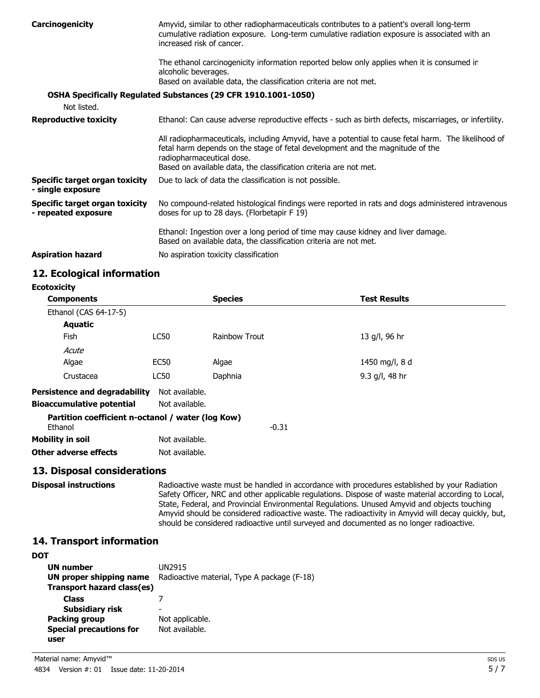| Carcinogenicity                                            | Amyvid, similar to other radiopharmaceuticals contributes to a patient's overall long-term<br>cumulative radiation exposure. Long-term cumulative radiation exposure is associated with an<br>increased risk of cancer. |
|------------------------------------------------------------|-------------------------------------------------------------------------------------------------------------------------------------------------------------------------------------------------------------------------|
|                                                            | The ethanol carcinogenicity information reported below only applies when it is consumed in<br>alcoholic beverages.                                                                                                      |
|                                                            | Based on available data, the classification criteria are not met.                                                                                                                                                       |
|                                                            | OSHA Specifically Regulated Substances (29 CFR 1910.1001-1050)                                                                                                                                                          |
| Not listed.                                                |                                                                                                                                                                                                                         |
| <b>Reproductive toxicity</b>                               | Ethanol: Can cause adverse reproductive effects - such as birth defects, miscarriages, or infertility.                                                                                                                  |
|                                                            | All radiopharmaceuticals, including Amyvid, have a potential to cause fetal harm. The likelihood of<br>fetal harm depends on the stage of fetal development and the magnitude of the<br>radiopharmaceutical dose.       |
|                                                            | Based on available data, the classification criteria are not met.                                                                                                                                                       |
| <b>Specific target organ toxicity</b><br>- single exposure | Due to lack of data the classification is not possible.                                                                                                                                                                 |
| Specific target organ toxicity<br>- repeated exposure      | No compound-related histological findings were reported in rats and dogs administered intravenous<br>doses for up to 28 days. (Florbetapir F 19)                                                                        |
|                                                            | Ethanol: Ingestion over a long period of time may cause kidney and liver damage.<br>Based on available data, the classification criteria are not met.                                                                   |
| <b>Aspiration hazard</b>                                   | No aspiration toxicity classification                                                                                                                                                                                   |

## **12. Ecological information**

#### **Ecotoxicity**

| <b>Components</b>                                |                | <b>Species</b> | <b>Test Results</b> |
|--------------------------------------------------|----------------|----------------|---------------------|
| Ethanol (CAS 64-17-5)                            |                |                |                     |
| <b>Aquatic</b>                                   |                |                |                     |
| <b>Fish</b>                                      | <b>LC50</b>    | Rainbow Trout  | 13 g/l, 96 hr       |
| Acute                                            |                |                |                     |
| Algae                                            | EC50           | Algae          | 1450 mg/l, 8 d      |
| Crustacea                                        | <b>LC50</b>    | Daphnia        | 9.3 g/l, 48 hr      |
| Persistence and degradability                    | Not available. |                |                     |
| <b>Bioaccumulative potential</b>                 | Not available. |                |                     |
| Destition coofficient a cotanel Lucter (les Keu) |                |                |                     |

| Partition coefficient n-octanol / water (log Kow) |                |         |
|---------------------------------------------------|----------------|---------|
| Ethanol                                           |                | $-0.31$ |
| Mobilitv in soil                                  | Not available. |         |
| Other adverse effects                             | Not available. |         |
|                                                   |                |         |

## **13. Disposal considerations**

**Disposal instructions** Radioactive waste must be handled in accordance with procedures established by your Radiation Safety Officer, NRC and other applicable regulations. Dispose of waste material according to Local, State, Federal, and Provincial Environmental Regulations. Unused Amyvid and objects touching Amyvid should be considered radioactive waste. The radioactivity in Amyvid will decay quickly, but, should be considered radioactive until surveyed and documented as no longer radioactive.

## **14. Transport information**

#### **DOT**

| <b>UN number</b><br>UN proper shipping name<br>Transport hazard class(es) | UN2915<br>Radioactive material, Type A package (F-18) |
|---------------------------------------------------------------------------|-------------------------------------------------------|
| Class                                                                     |                                                       |
| <b>Subsidiary risk</b>                                                    |                                                       |
| <b>Packing group</b>                                                      | Not applicable.                                       |
| <b>Special precautions for</b>                                            | Not available.                                        |
| user                                                                      |                                                       |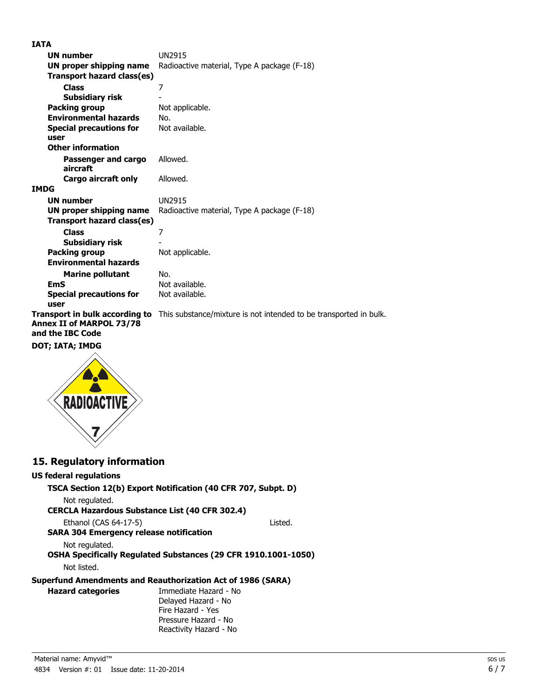| <b>UN number</b>                                                               | UN2915                                                            |
|--------------------------------------------------------------------------------|-------------------------------------------------------------------|
| UN proper shipping name                                                        | Radioactive material, Type A package (F-18)                       |
| Transport hazard class(es)                                                     |                                                                   |
| <b>Class</b>                                                                   | 7                                                                 |
| Subsidiary risk                                                                |                                                                   |
| <b>Packing group</b>                                                           | Not applicable.                                                   |
| <b>Environmental hazards</b>                                                   | No.                                                               |
| <b>Special precautions for</b>                                                 | Not available.                                                    |
| user                                                                           |                                                                   |
| <b>Other information</b>                                                       |                                                                   |
| Passenger and cargo<br>aircraft                                                | Allowed.                                                          |
| Cargo aircraft only                                                            | Allowed.                                                          |
| IMDG                                                                           |                                                                   |
| <b>UN number</b>                                                               | <b>UN2915</b>                                                     |
| UN proper shipping name                                                        | Radioactive material, Type A package (F-18)                       |
| Transport hazard class(es)                                                     |                                                                   |
| <b>Class</b>                                                                   | 7                                                                 |
| Subsidiary risk                                                                |                                                                   |
| <b>Packing group</b>                                                           | Not applicable.                                                   |
| <b>Environmental hazards</b>                                                   |                                                                   |
| <b>Marine pollutant</b>                                                        | No.                                                               |
| <b>EmS</b>                                                                     | Not available.                                                    |
| <b>Special precautions for</b>                                                 | Not available.                                                    |
| user                                                                           |                                                                   |
| Transport in bulk according to<br>Annex II of MARPOL 73/78<br>and the IBC Code | This substance/mixture is not intended to be transported in bulk. |
|                                                                                |                                                                   |

#### **DOT; IATA; IMDG**



## **15. Regulatory information**

#### **US federal regulations**

**TSCA Section 12(b) Export Notification (40 CFR 707, Subpt. D)**

Not regulated.

#### **CERCLA Hazardous Substance List (40 CFR 302.4)**

Ethanol (CAS 64-17-5) Listed.

**SARA 304 Emergency release notification**

Not regulated.

#### **OSHA Specifically Regulated Substances (29 CFR 1910.1001-1050)** Not listed.

#### **Superfund Amendments and Reauthorization Act of 1986 (SARA)**

#### **Hazard categories** Immediate Hazard - No

Delayed Hazard - No Fire Hazard - Yes Pressure Hazard - No Reactivity Hazard - No